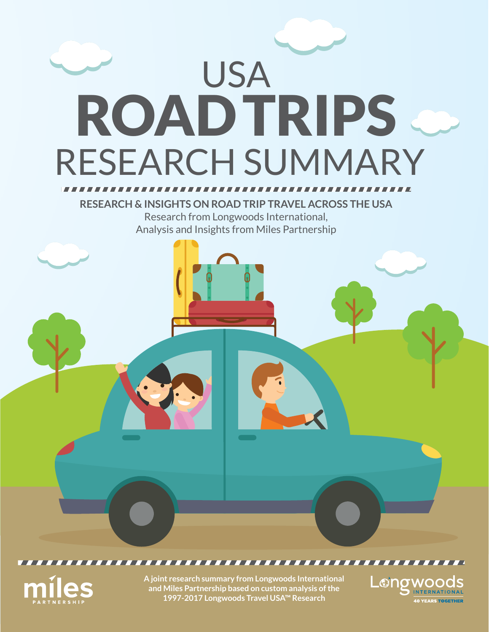



**A joint research summary from Longwoods International and Miles Partnership based on custom analysis of the 1997-2017 Longwoods Travel USA™ Research** 

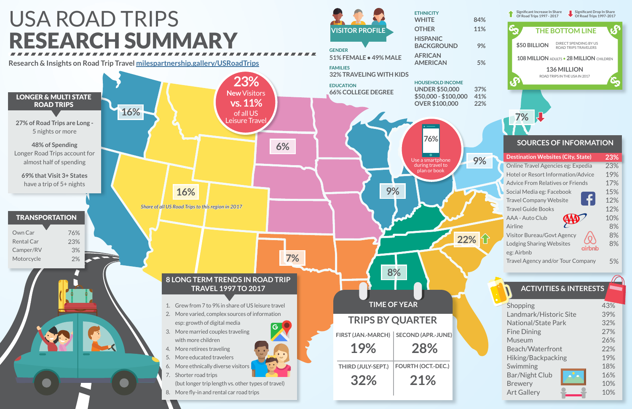

| Shopping                   | 43% |
|----------------------------|-----|
| Landmark/Historic Site     | 39% |
| <b>National/State Park</b> | 32% |
| <b>Fine Dining</b>         | 27% |
| Museum                     | 26% |
| <b>Beach/Waterfront</b>    | 22% |
| Hiking/Backpacking         | 19% |
| Swimming                   | 18% |
| <b>Bar/Night Club</b>      | 16% |
| <b>Brewery</b>             | 10% |
| <b>Art Gallery</b>         | 10% |



## **ACTIVITIES & INTERESTS**

**Significant Drop In Share Of Road Trips 1997-2017**

## **\$50 BILLION** DIRECT SPENDING BY US ROAD TRIPS TRAVELERS **136 MILLION** ROAD TRIPS IN THE USA IN 2017 **THE BOTTOM LINE 108 MILLION** ADULTS • **28 MILLION** CHILDREN

### **SOURCES OF INFORMATION**

| <b>Destination Websites (City, State)</b> | 23% |
|-------------------------------------------|-----|
| Online Travel Agencies eg: Expedia        | 23% |
| <b>Hotel or Resort Information/Advice</b> | 19% |
| <b>Advice From Relatives or Friends</b>   | 17% |
| Social Media eg: Facebook                 | 15% |
| <b>Travel Company Website</b>             | 12% |
| <b>Travel Guide Books</b>                 | 12% |
| AAA - Auto Club                           | 10% |
| Airline                                   | 8%  |
| <b>Visitor Bureau/Govt Agency</b>         | 8%  |
| <b>Lodging Sharing Websites</b>           | 8%  |
| airbnb<br>eg: Airbnb                      |     |
| Travel Agency and/or Tour Company         | 5%  |

**7%**